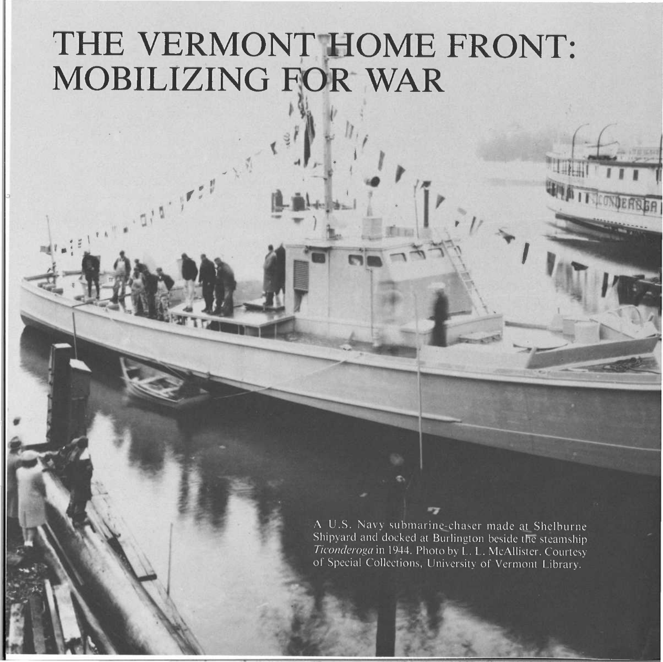## THE VERMONT HOME FRONT: MOBILIZING FOR WAR

A U.S. Navy submarine-chaser made at Shelburne Shipyard and docked at Burlington beside the steamship Ticonderoga in 1944. Photo by L. L. McAllister. Courtesy of Special Collections, University of Vermont Library.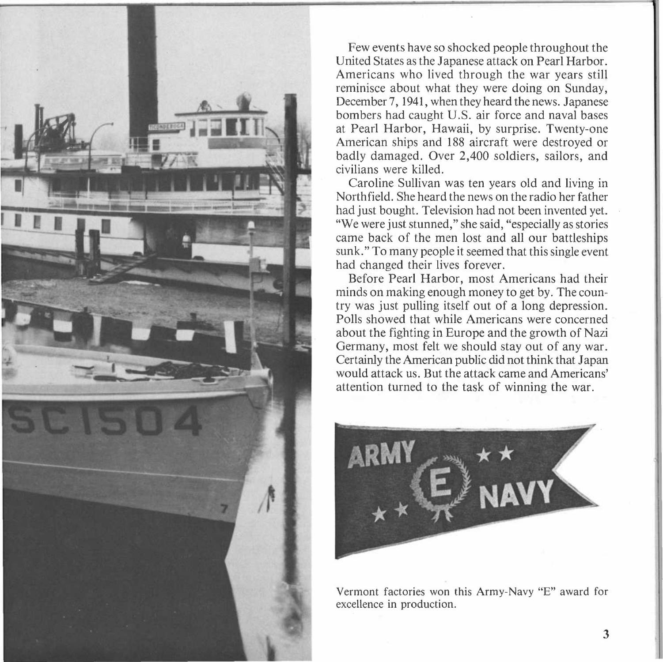

Few events have so shocked people throughout the United States as the Japanese attack on Pearl Harbor. Americans who lived through the war years still reminisce about what they were doing on Sunday, December 7, 1941, when they heard the news. Japanese bombers had caught U.S. air force and naval bases at Pearl Harbor, Hawaii, by surprise. Twenty-one American ships and 188 aircraft were destroyed or badly damaged. Over 2,400 soldiers, sailors, and civilians were killed.

Caroline Sullivan was ten years old and living in Northfield. She heard the news on the radio her father had just bought. Television had not been invented yet. "We were just stunned," she said, "especially as stories came back of the men lost and all our battleships sunk." To many people it seemed that this single event had changed their lives forever.

Before Pearl Harbor, most Americans had their minds on making enough money to get by. The country was just pulling itself out of a long depression. Polls showed that while Americans were concerned about the fighting in Europe and the growth of Nazi Germany, most felt we should stay out of any war. Certainly the American public did not think that Japan would attack us. But the attack came and Americans' attention turned to the task of winning the war.



Vermont factories won this Army-Navy "E" award for excellence in production.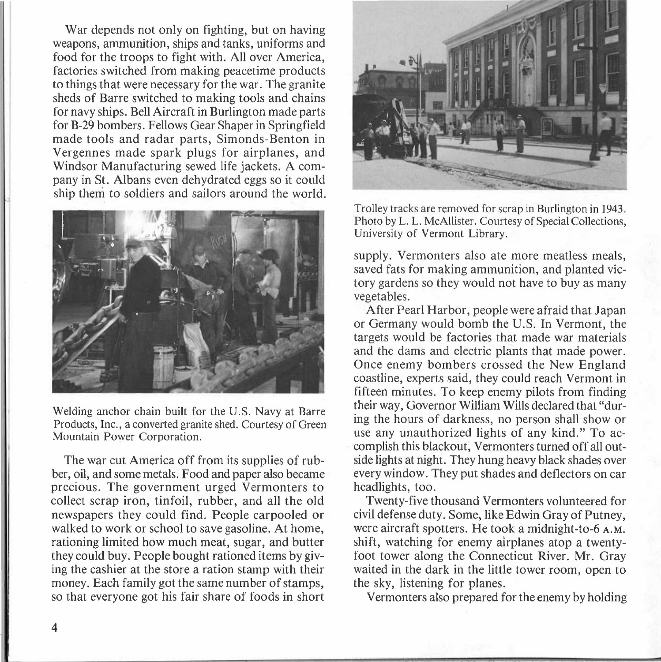War depends not only on fighting, but on having weapons, ammunition, ships and tanks, uniforms and food for the troops to fight with. All over America, factories switched from making peacetime products to things that were necessary for the war. The granite sheds of Barre switched to making tools and chains for navy ships. Bell Aircraft in Burlington made parts for B-29 bombers. Fellows Gear Shaper in Springfield made tools and radar parts, Simonds-Benton in Vergennes made spark plugs for airplanes, and Windsor Manufacturing sewed life jackets. A company in St. Albans even dehydrated eggs so it could ship them to soldiers and sailors around the world.



Welding anchor chain built for the U.S. Navy at Barre Products, Inc., a converted granite shed. Courtesy of Green Mountain Power Corporation.

The war cut America off from its supplies of rubber, oil, and some metals. Food and paper also became precious. The government urged Vermonters to collect scrap iron, tinfoil, rubber, and all the old newspapers they could find. People carpooled or walked to work or school to save gasoline. At home, rationing limited how much meat, sugar, and butter they could buy. People bought rationed items by giving the cashier at the store a ration stamp with their money. Each family got the same number of stamps, so that everyone got his fair share of foods in short



Trolley tracks are removed for scrap in Burlington in 1943. Photo by L. L. McAllister. Courtesy of Special Collections, University of Vermont Library.

supply. Vermonters also ate more meatless meals, saved fats for making ammunition, and planted victory gardens so they would not have to buy as many vegetables.

After Pearl Harbor, people were afraid that Japan or Germany would bomb the U.S. In Vermont, the targets would be factories that made war materials and the dams and electric plants that made power. Once enemy bombers crossed the New England coastline, experts said, they could reach Vermont in fifteen minutes. To keep enemy pilots from finding their way, Governor William Wills declared that "during the hours of darkness, no person shall show or use any unauthorized lights of any kind." To accomplish this blackout, Vermonters turned off all outside lights at night. They hung heavy black shades over every window. They put shades and deflectors on car headlights, too.

Twenty-five thousand Vermonters volunteered for civil defense duty. Some, like Edwin Gray of Putney, were aircraft spotters. He took a midnight-to-6 A.M. shift, watching for enemy airplanes atop a twentyfoot tower along the Connecticut River. **Mr.** Gray waited in the dark in the little tower room, open to the sky, listening for planes.

Vermonters also prepared for the enemy by holding